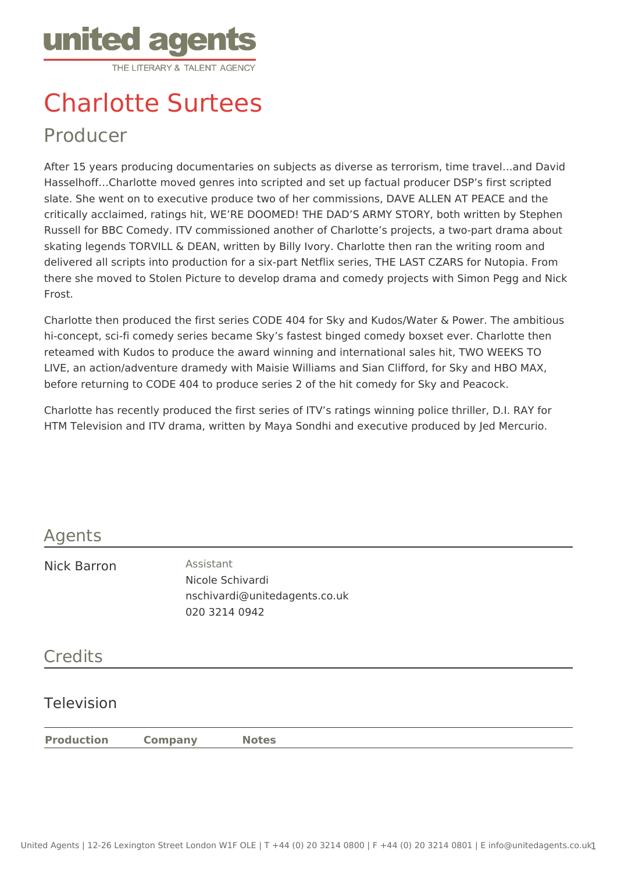

# Charlotte Surtees

# Producer

After 15 years producing documentaries on subjects as diverse as terrorism, time travel…and David Hasselhoff…Charlotte moved genres into scripted and set up factual producer DSP's first scripted slate. She went on to executive produce two of her commissions, DAVE ALLEN AT PEACE and the critically acclaimed, ratings hit, WE'RE DOOMED! THE DAD'S ARMY STORY, both written by Stephen Russell for BBC Comedy. ITV commissioned another of Charlotte's projects, a two-part drama about skating legends TORVILL & DEAN, written by Billy Ivory. Charlotte then ran the writing room and delivered all scripts into production for a six-part Netflix series, THE LAST CZARS for Nutopia. From there she moved to Stolen Picture to develop drama and comedy projects with Simon Pegg and Nick Frost.

Charlotte then produced the first series CODE 404 for Sky and Kudos/Water & Power. The ambitious hi-concept, sci-fi comedy series became Sky's fastest binged comedy boxset ever. Charlotte then reteamed with Kudos to produce the award winning and international sales hit, TWO WEEKS TO LIVE, an action/adventure dramedy with Maisie Williams and Sian Clifford, for Sky and HBO MAX, before returning to CODE 404 to produce series 2 of the hit comedy for Sky and Peacock.

Charlotte has recently produced the first series of ITV's ratings winning police thriller, D.I. RAY for HTM Television and ITV drama, written by Maya Sondhi and executive produced by Jed Mercurio.

## Agents

Nick Barron **Assistant** 

Nicole Schivardi nschivardi@unitedagents.co.uk 020 3214 0942

## **Credits**

#### Television

**Production Company Notes**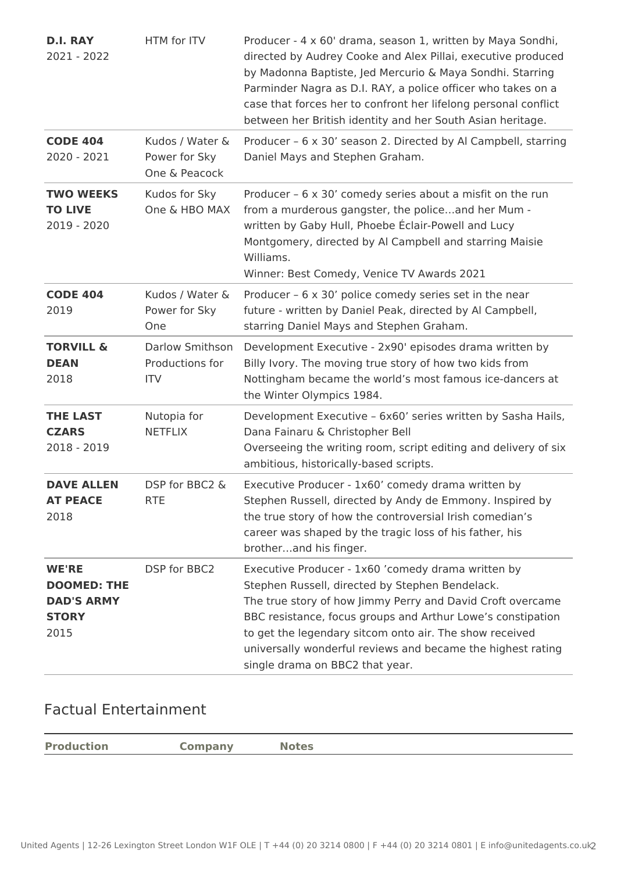| <b>D.I. RAY</b><br>2021 - 2022                                                  | HTM for ITV                                             | Producer - 4 x 60' drama, season 1, written by Maya Sondhi,<br>directed by Audrey Cooke and Alex Pillai, executive produced<br>by Madonna Baptiste, Jed Mercurio & Maya Sondhi. Starring<br>Parminder Nagra as D.I. RAY, a police officer who takes on a<br>case that forces her to confront her lifelong personal conflict<br>between her British identity and her South Asian heritage.       |
|---------------------------------------------------------------------------------|---------------------------------------------------------|-------------------------------------------------------------------------------------------------------------------------------------------------------------------------------------------------------------------------------------------------------------------------------------------------------------------------------------------------------------------------------------------------|
| <b>CODE 404</b><br>2020 - 2021                                                  | Kudos / Water &<br>Power for Sky<br>One & Peacock       | Producer - 6 x 30' season 2. Directed by Al Campbell, starring<br>Daniel Mays and Stephen Graham.                                                                                                                                                                                                                                                                                               |
| <b>TWO WEEKS</b><br><b>TO LIVE</b><br>2019 - 2020                               | Kudos for Sky<br>One & HBO MAX                          | Producer - 6 x 30' comedy series about a misfit on the run<br>from a murderous gangster, the policeand her Mum -<br>written by Gaby Hull, Phoebe Éclair-Powell and Lucy<br>Montgomery, directed by Al Campbell and starring Maisie<br>Williams.<br>Winner: Best Comedy, Venice TV Awards 2021                                                                                                   |
| <b>CODE 404</b><br>2019                                                         | Kudos / Water &<br>Power for Sky<br><b>One</b>          | Producer - 6 x 30' police comedy series set in the near<br>future - written by Daniel Peak, directed by Al Campbell,<br>starring Daniel Mays and Stephen Graham.                                                                                                                                                                                                                                |
| <b>TORVILL &amp;</b><br><b>DEAN</b><br>2018                                     | <b>Darlow Smithson</b><br>Productions for<br><b>ITV</b> | Development Executive - 2x90' episodes drama written by<br>Billy Ivory. The moving true story of how two kids from<br>Nottingham became the world's most famous ice-dancers at<br>the Winter Olympics 1984.                                                                                                                                                                                     |
| <b>THE LAST</b><br><b>CZARS</b><br>2018 - 2019                                  | Nutopia for<br><b>NETFLIX</b>                           | Development Executive - 6x60' series written by Sasha Hails,<br>Dana Fainaru & Christopher Bell<br>Overseeing the writing room, script editing and delivery of six<br>ambitious, historically-based scripts.                                                                                                                                                                                    |
| <b>DAVE ALLEN</b><br><b>AT PEACE</b><br>2018                                    | DSP for BBC2 &<br><b>RTE</b>                            | Executive Producer - 1x60' comedy drama written by<br>Stephen Russell, directed by Andy de Emmony. Inspired by<br>the true story of how the controversial Irish comedian's<br>career was shaped by the tragic loss of his father, his<br>brotherand his finger.                                                                                                                                 |
| <b>WE'RE</b><br><b>DOOMED: THE</b><br><b>DAD'S ARMY</b><br><b>STORY</b><br>2015 | DSP for BBC2                                            | Executive Producer - 1x60 'comedy drama written by<br>Stephen Russell, directed by Stephen Bendelack.<br>The true story of how Jimmy Perry and David Croft overcame<br>BBC resistance, focus groups and Arthur Lowe's constipation<br>to get the legendary sitcom onto air. The show received<br>universally wonderful reviews and became the highest rating<br>single drama on BBC2 that year. |

#### Factual Entertainment

| <b>Production</b> | <b>Company</b> | Notes |
|-------------------|----------------|-------|
|                   |                |       |